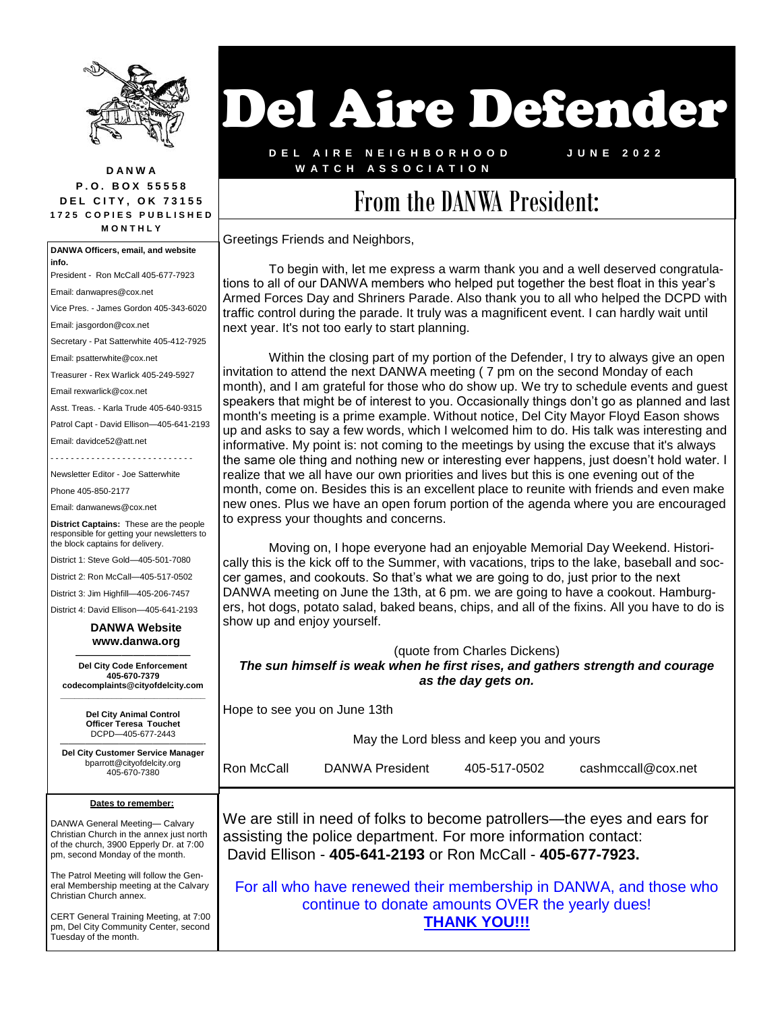

**D A N W A P . O . B O X 5 5 5 5 8 DEL CITY, OK 73155 1 7 2 5 C O P I E S P U B L I S H E D M O N T H L Y**

**Dates to remember:** DANWA General Meeting— Calvary Christian Church in the annex just north of the church, 3900 Epperly Dr. at 7:00 pm, second Monday of the month. The Patrol Meeting will follow the General Membership meeting at the Calvary Christian Church annex. **DANWA Officers, email, and website info.** President - Ron McCall 405-677-7923 Email: danwapres@cox.net Vice Pres. - James Gordon 405-343-6020 Email: jasgordon@cox.net Secretary - Pat Satterwhite 405-412-7925 Email: psatterwhite@cox.net Treasurer - Rex Warlick 405-249-5927 Email rexwarlick@cox.net Asst. Treas. - Karla Trude 405-640-9315 Patrol Capt - David Ellison—405-641-2193 Email: davidce52@att.net Newsletter Editor - Joe Satterwhite Phone 405-850-2177 Email: danwanews@cox.net **District Captains:** These are the people responsible for getting your newsletters to the block captains for delivery. District 1: Steve Gold—405-501-7080 District 2: Ron McCall—405-517-0502 District 3: Jim Highfill—405-206-7457 District 4: David Ellison—405-641-2193  **DANWA Website www.danwa.org**  —————————— **Del City Code Enforcement 405-670-7379 codecomplaints@cityofdelcity.com \_\_\_\_\_\_\_\_\_\_\_\_\_\_\_\_\_\_\_\_\_\_\_\_\_\_\_\_\_\_\_ Del City Animal Control Officer Teresa Touchet** DCPD—405-677-2443 —————————————————- **Del City Customer Service Manager** bparrott@cityofdelcity.org 405-670-7380

CERT General Training Meeting, at 7:00 pm, Del City Community Center, second Tuesday of the month.

## Del Aire Defender

**D E L A I R E N E I G H B O R H O O D W A T C H A S S O C I A T I O N**

**J U N E 2 0 2 2**

## From the DANWA President:

Greetings Friends and Neighbors,

To begin with, let me express a warm thank you and a well deserved congratulations to all of our DANWA members who helped put together the best float in this year's Armed Forces Day and Shriners Parade. Also thank you to all who helped the DCPD with traffic control during the parade. It truly was a magnificent event. I can hardly wait until next year. It's not too early to start planning.

Within the closing part of my portion of the Defender, I try to always give an open invitation to attend the next DANWA meeting ( 7 pm on the second Monday of each month), and I am grateful for those who do show up. We try to schedule events and guest speakers that might be of interest to you. Occasionally things don't go as planned and last month's meeting is a prime example. Without notice, Del City Mayor Floyd Eason shows up and asks to say a few words, which I welcomed him to do. His talk was interesting and informative. My point is: not coming to the meetings by using the excuse that it's always the same ole thing and nothing new or interesting ever happens, just doesn't hold water. I realize that we all have our own priorities and lives but this is one evening out of the month, come on. Besides this is an excellent place to reunite with friends and even make new ones. Plus we have an open forum portion of the agenda where you are encouraged to express your thoughts and concerns.

Moving on, I hope everyone had an enjoyable Memorial Day Weekend. Historically this is the kick off to the Summer, with vacations, trips to the lake, baseball and soccer games, and cookouts. So that's what we are going to do, just prior to the next DANWA meeting on June the 13th, at 6 pm. we are going to have a cookout. Hamburgers, hot dogs, potato salad, baked beans, chips, and all of the fixins. All you have to do is show up and enjoy yourself.

(quote from Charles Dickens) *The sun himself is weak when he first rises, and gathers strength and courage as the day gets on.*

Hope to see you on June 13th

May the Lord bless and keep you and yours

Ron McCall DANWA President 405-517-0502 cashmccall@cox.net

We are still in need of folks to become patrollers—the eyes and ears for assisting the police department. For more information contact: David Ellison - **405-641-2193** or Ron McCall - **405-677-7923.**

For all who have renewed their membership in DANWA, and those who continue to donate amounts OVER the yearly dues! **THANK YOU!!!**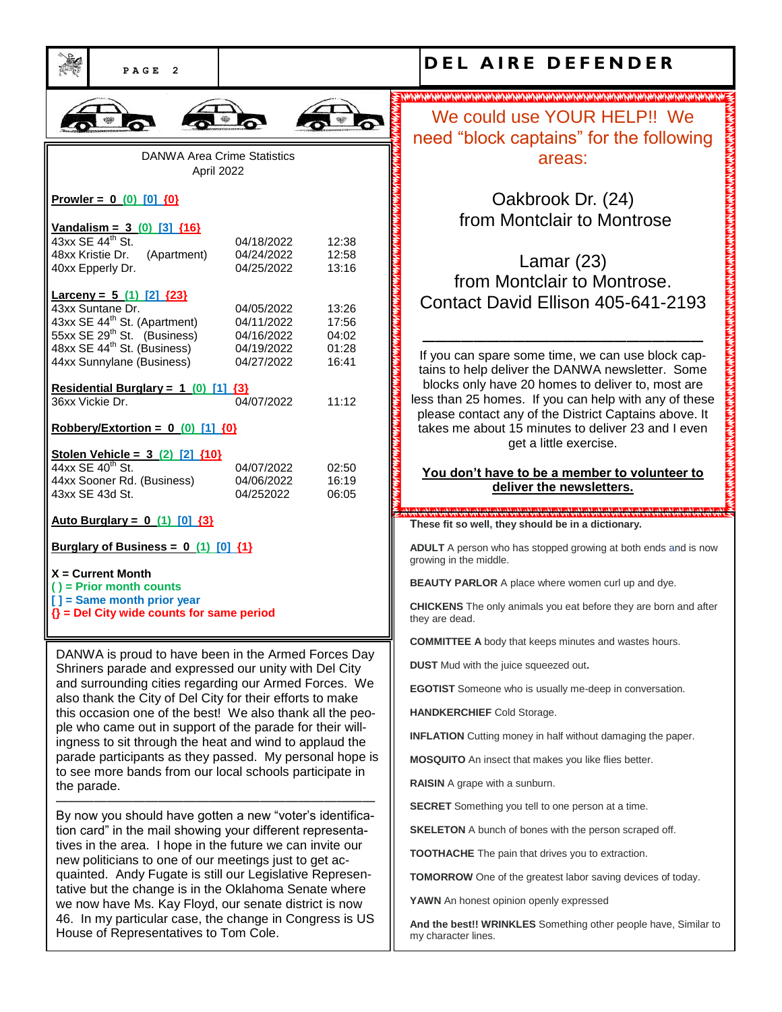| PAGE<br>$\overline{2}$                                                                                                                 |                                        |                         | DEL AIRE DEFENDER                                                                                                                                                   |
|----------------------------------------------------------------------------------------------------------------------------------------|----------------------------------------|-------------------------|---------------------------------------------------------------------------------------------------------------------------------------------------------------------|
|                                                                                                                                        |                                        |                         |                                                                                                                                                                     |
|                                                                                                                                        |                                        |                         | We could use YOUR HELP!! We<br>need "block captains" for the following                                                                                              |
| <b>DANWA Area Crime Statistics</b><br>April 2022                                                                                       |                                        |                         | areas:                                                                                                                                                              |
| Prowler = $0$ (0) [0] {0}                                                                                                              |                                        |                         | Oakbrook Dr. (24)                                                                                                                                                   |
| Vandalism = $3(0)$ [3] ${16}$<br>43xx SE 44 <sup>th</sup> St.                                                                          | 04/18/2022                             | 12:38                   | from Montclair to Montrose                                                                                                                                          |
| 48xx Kristie Dr.<br>(Apartment)<br>40xx Epperly Dr.                                                                                    | 04/24/2022<br>04/25/2022               | 12:58<br>13:16          | Lamar $(23)$<br>from Montclair to Montrose.                                                                                                                         |
| Larceny = $5(1)$ [2] ${23}$<br>43xx Suntane Dr.<br>43xx SE 44 <sup>th</sup> St. (Apartment)<br>55xx SE 29 <sup>th</sup> St. (Business) | 04/05/2022<br>04/11/2022               | 13:26<br>17:56          | Contact David Ellison 405-641-2193                                                                                                                                  |
| 48xx SE 44 <sup>th</sup> St. (Business)<br>44xx Sunnylane (Business)                                                                   | 04/16/2022<br>04/19/2022<br>04/27/2022 | 04:02<br>01:28<br>16:41 | If you can spare some time, we can use block cap-<br>tains to help deliver the DANWA newsletter. Some                                                               |
| Residential Burglary = $1$ (0) [1] $\{3\}$<br>36xx Vickie Dr.                                                                          | 04/07/2022                             | 11:12                   | blocks only have 20 homes to deliver to, most are<br>less than 25 homes. If you can help with any of these<br>please contact any of the District Captains above. It |
| Robbery/Extortion = $0$ (0) [1] $\{0\}$                                                                                                |                                        |                         | takes me about 15 minutes to deliver 23 and I even<br>get a little exercise.                                                                                        |
| Stolen Vehicle = $3(2)$ [2] ${10}$<br>44xx SE 40 <sup>th</sup> St.                                                                     | 04/07/2022                             | 02:50                   |                                                                                                                                                                     |
| 44xx Sooner Rd. (Business)<br>43xx SE 43d St.                                                                                          | 04/06/2022<br>04/252022                | 16:19<br>06:05          | You don't have to be a member to volunteer to<br>deliver the newsletters.                                                                                           |
| <u>Auto Burglary = <math>0</math> (1) [0] <math>\{3\}</math></u>                                                                       |                                        |                         | فترافت القترافية الفترافية القترافية القترافية القيرافية القترافية القترافية القترافية القترافية القترافية<br>These fit so well, they should be in a dictionary.    |
| Burglary of Business = $0$ (1) [0] $\{1\}$                                                                                             |                                        |                         | ADULT A person who has stopped growing at both ends and is now<br>growing in the middle.                                                                            |
| $X =$ Current Month<br>$()$ = Prior month counts                                                                                       |                                        |                         | <b>BEAUTY PARLOR</b> A place where women curl up and dye.                                                                                                           |
| [] = Same month prior year<br>$\{\}$ = Del City wide counts for same period                                                            |                                        |                         | <b>CHICKENS</b> The only animals you eat before they are born and after<br>they are dead.                                                                           |
| DANWA is proud to have been in the Armed Forces Day                                                                                    |                                        |                         | <b>COMMITTEE A</b> body that keeps minutes and wastes hours.                                                                                                        |
| Shriners parade and expressed our unity with Del City<br>and surrounding cities regarding our Armed Forces. We                         |                                        |                         | <b>DUST</b> Mud with the juice squeezed out.                                                                                                                        |
| also thank the City of Del City for their efforts to make                                                                              |                                        |                         | <b>EGOTIST</b> Someone who is usually me-deep in conversation.                                                                                                      |
| this occasion one of the best! We also thank all the peo-<br>ple who came out in support of the parade for their will-                 |                                        |                         | HANDKERCHIEF Cold Storage.<br><b>INFLATION</b> Cutting money in half without damaging the paper.                                                                    |
| ingness to sit through the heat and wind to applaud the<br>parade participants as they passed. My personal hope is                     |                                        |                         | <b>MOSQUITO</b> An insect that makes you like flies better.                                                                                                         |
| to see more bands from our local schools participate in<br>the parade.                                                                 |                                        |                         | RAISIN A grape with a sunburn.                                                                                                                                      |
| By now you should have gotten a new "voter's identifica-                                                                               |                                        |                         | <b>SECRET</b> Something you tell to one person at a time.                                                                                                           |
| tion card" in the mail showing your different representa-                                                                              |                                        |                         | <b>SKELETON</b> A bunch of bones with the person scraped off.                                                                                                       |
| tives in the area. I hope in the future we can invite our<br>new politicians to one of our meetings just to get ac-                    |                                        |                         | <b>TOOTHACHE</b> The pain that drives you to extraction.                                                                                                            |
| quainted. Andy Fugate is still our Legislative Represen-<br>tative but the change is in the Oklahoma Senate where                      |                                        |                         | <b>TOMORROW</b> One of the greatest labor saving devices of today.                                                                                                  |
| we now have Ms. Kay Floyd, our senate district is now                                                                                  |                                        |                         | YAWN An honest opinion openly expressed                                                                                                                             |
| 46. In my particular case, the change in Congress is US<br>House of Representatives to Tom Cole.                                       |                                        |                         | And the best!! WRINKLES Something other people have, Similar to<br>my character lines.                                                                              |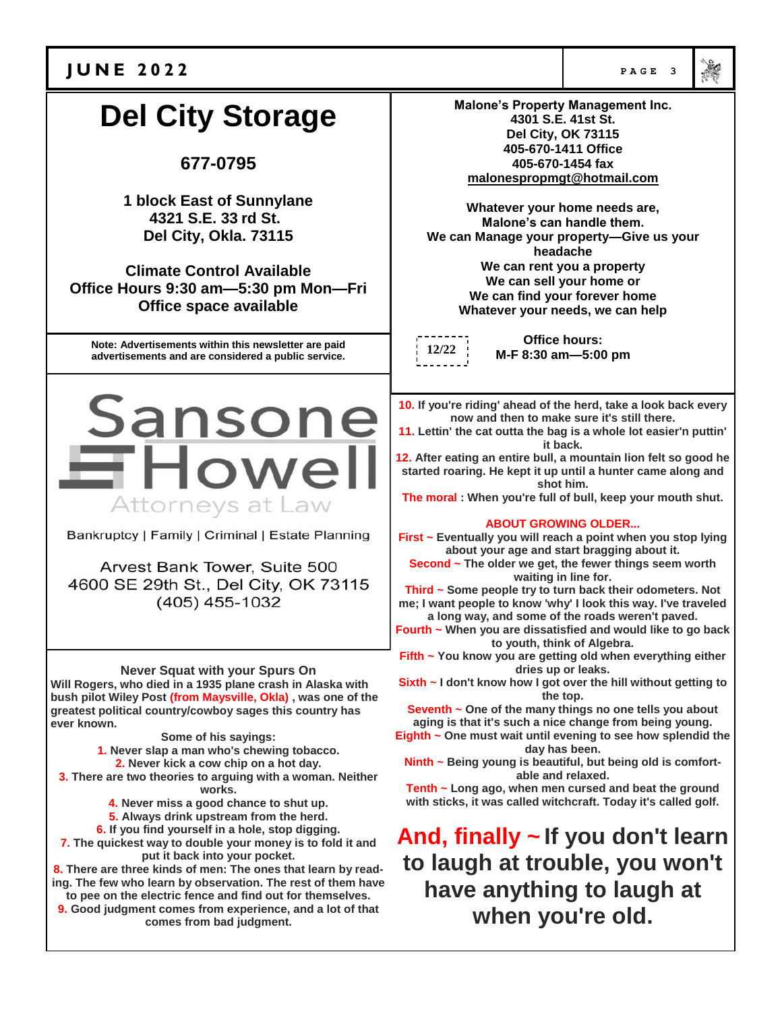

## **J U N E 2 0 2 2 PAGE 3 Malone's Property Management Inc. Del City Storage 4301 S.E. 41st St. Del City, OK 73115 405-670-1411 Office 677-0795 405-670-1454 fax malonespropmgt@hotmail.com 1 block East of Sunnylane Whatever your home needs are, 4321 S.E. 33 rd St. Malone's can handle them. Del City, Okla. 73115 We can Manage your property—Give us your headache We can rent you a property Climate Control Available We can sell your home or Office Hours 9:30 am—5:30 pm Mon—Fri We can find your forever home Office space available Whatever your needs, we can help Office hours: Note: Advertisements within this newsletter are paid 12/22 M-F 8:30 am—5:00 pm advertisements and are considered a public service.** Sansone **10. If you're riding' ahead of the herd, take a look back every now and then to make sure it's still there. 11. Lettin' the cat outta the bag is a whole lot easier'n puttin' it back.**  $\blacksquare$  Howel **12. After eating an entire bull, a mountain lion felt so good he started roaring. He kept it up until a hunter came along and shot him. The moral : When you're full of bull, keep your mouth shut.** Attorneys at Law **ABOUT GROWING OLDER...** Bankruptcy | Family | Criminal | Estate Planning **First ~ Eventually you will reach a point when you stop lying about your age and start bragging about it. Second ~ The older we get, the fewer things seem worth**  Arvest Bank Tower, Suite 500 **waiting in line for.** 4600 SE 29th St., Del City, OK 73115 **Third ~ Some people try to turn back their odometers. Not**   $(405)$  455-1032 **me; I want people to know 'why' I look this way. I've traveled a long way, and some of the roads weren't paved. Fourth ~ When you are dissatisfied and would like to go back to youth, think of Algebra. Fifth ~ You know you are getting old when everything either Never Squat with your Spurs On dries up or leaks. Will Rogers, who died in a 1935 plane crash in Alaska with Sixth ~ I don't know how I got over the hill without getting to the top. bush pilot Wiley Post (from Maysville, Okla) , was one of the Seventh ~ One of the many things no one tells you about greatest political country/cowboy sages this country has aging is that it's such a nice change from being young. ever known. Some of his sayings: Eighth ~ One must wait until evening to see how splendid the day has been. 1. Never slap a man who's chewing tobacco. Ninth ~ Being young is beautiful, but being old is comfort-2. Never kick a cow chip on a hot day. 3. There are two theories to arguing with a woman. Neither able and relaxed. Tenth ~ Long ago, when men cursed and beat the ground works. with sticks, it was called witchcraft. Today it's called golf. 4. Never miss a good chance to shut up. 5. Always drink upstream from the herd. 6. If you find yourself in a hole, stop digging. And, finally ~ If you don't learn 7. The quickest way to double your money is to fold it and put it back into your pocket. to laugh at trouble, you won't 8. There are three kinds of men: The ones that learn by reading. The few who learn by observation. The rest of them have have anything to laugh at to pee on the electric fence and find out for themselves. 9. Good judgment comes from experience, and a lot of that when you're old.comes from bad judgment.**